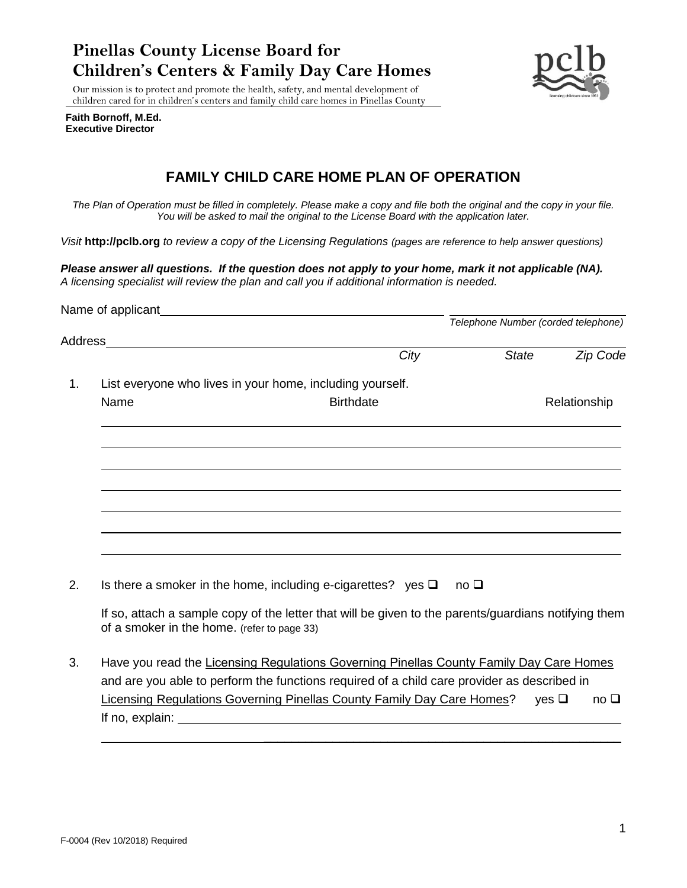# **Pinellas County License Board for Children's Centers & Family Day Care Homes**



Our mission is to protect and promote the health, safety, and mental development of children cared for in children's centers and family child care homes in Pinellas County

**Faith Bornoff, M.Ed. Executive Director**

# **FAMILY CHILD CARE HOME PLAN OF OPERATION**

*The Plan of Operation must be filled in completely. Please make a copy and file both the original and the copy in your file. You will be asked to mail the original to the License Board with the application later.* 

*Visit* **[http://pclb.org](http://pclb.org/)** *to review a copy of the Licensing Regulations (pages are reference to help answer questions)*

*Please answer all questions. If the question does not apply to your home, mark it not applicable (NA). A licensing specialist will review the plan and call you if additional information is needed.*

|    |                                                                                   |                                                                                                      |              | Telephone Number (corded telephone) |  |  |
|----|-----------------------------------------------------------------------------------|------------------------------------------------------------------------------------------------------|--------------|-------------------------------------|--|--|
|    | Address Andreas Address Address Address Andreas Address Address Address Address A |                                                                                                      |              |                                     |  |  |
|    |                                                                                   | City                                                                                                 | <b>State</b> | Zip Code                            |  |  |
| 1. |                                                                                   | List everyone who lives in your home, including yourself.                                            |              |                                     |  |  |
|    | Name                                                                              | <b>Birthdate</b>                                                                                     |              | Relationship                        |  |  |
|    |                                                                                   |                                                                                                      |              |                                     |  |  |
|    |                                                                                   |                                                                                                      |              |                                     |  |  |
|    |                                                                                   |                                                                                                      |              |                                     |  |  |
|    |                                                                                   |                                                                                                      |              |                                     |  |  |
|    |                                                                                   |                                                                                                      |              |                                     |  |  |
|    |                                                                                   |                                                                                                      |              |                                     |  |  |
| 2. |                                                                                   | Is there a smoker in the home, including e-cigarettes? yes $\square$                                 | no $\square$ |                                     |  |  |
|    | of a smoker in the home. (refer to page 33)                                       | If so, attach a sample copy of the letter that will be given to the parents/guardians notifying them |              |                                     |  |  |
|    |                                                                                   |                                                                                                      |              |                                     |  |  |

3. Have you read the Licensing Regulations Governing Pinellas County Family Day Care Homes and are you able to perform the functions required of a child care provider as described in Licensing Regulations Governing Pinellas County Family Day Care Homes? yes □ no □ If no, explain:

\_\_\_\_\_\_\_\_\_\_\_\_\_\_\_\_\_\_\_\_\_\_\_\_\_\_\_\_\_\_\_\_\_\_\_\_\_\_\_\_\_\_\_\_\_\_\_\_\_\_\_\_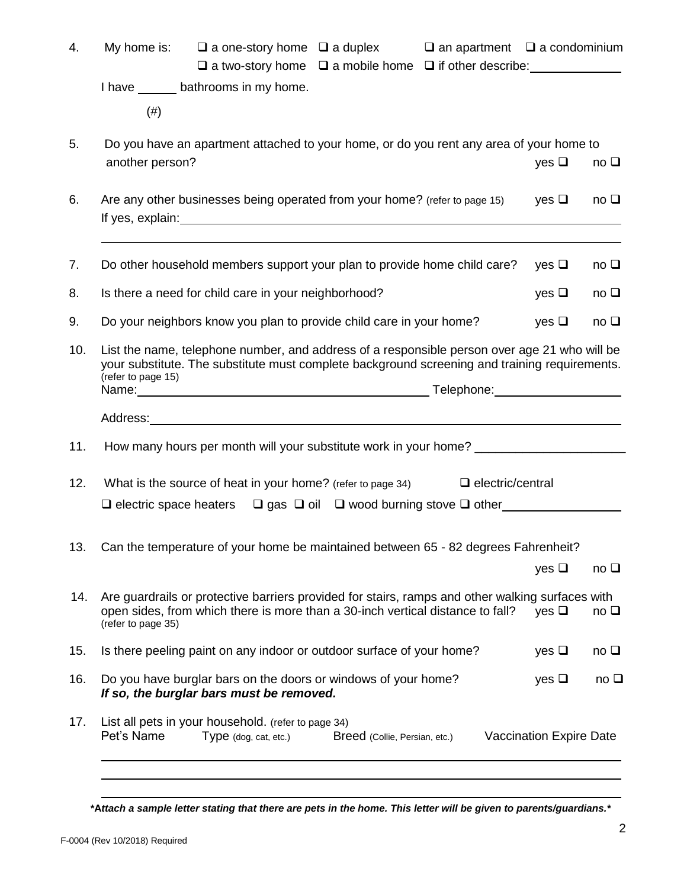| 4.  | My home is: $\square$ a one-story home $\square$ a duplex<br>$\Box$ an apartment $\Box$ a condominium<br>$\Box$ a two-story home $\Box$ a mobile home $\Box$ if other describe:                                                                                                                                                                                                                                                                      |                                |            |  |
|-----|------------------------------------------------------------------------------------------------------------------------------------------------------------------------------------------------------------------------------------------------------------------------------------------------------------------------------------------------------------------------------------------------------------------------------------------------------|--------------------------------|------------|--|
|     | I have ________ bathrooms in my home.                                                                                                                                                                                                                                                                                                                                                                                                                |                                |            |  |
|     | (# )                                                                                                                                                                                                                                                                                                                                                                                                                                                 |                                |            |  |
| 5.  | Do you have an apartment attached to your home, or do you rent any area of your home to<br>another person?                                                                                                                                                                                                                                                                                                                                           | yes $\Box$                     | $no\ \Box$ |  |
| 6.  | Are any other businesses being operated from your home? (refer to page 15)<br>If yes, explain: The state of the state of the state of the state of the state of the state of the state of the state of the state of the state of the state of the state of the state of the state of the state of the state                                                                                                                                          | $\vee$ es $\Box$               | $no\ \Box$ |  |
| 7.  | Do other household members support your plan to provide home child care?                                                                                                                                                                                                                                                                                                                                                                             | yes $\Box$                     | $no\ \Box$ |  |
| 8.  | Is there a need for child care in your neighborhood?                                                                                                                                                                                                                                                                                                                                                                                                 | yes $\Box$                     | $no\ \Box$ |  |
| 9.  | Do your neighbors know you plan to provide child care in your home?                                                                                                                                                                                                                                                                                                                                                                                  | yes $\Box$                     | $no\ \Box$ |  |
| 10. | List the name, telephone number, and address of a responsible person over age 21 who will be<br>your substitute. The substitute must complete background screening and training requirements.<br>(refer to page 15)<br>Name: Name: Name: Name: Name: Name: Name: Name: Name: Name: Name: Name: Name: Name: Name: Name: Name: Name: Name: Name: Name: Name: Name: Name: Name: Name: Name: Name: Name: Name: Name: Name: Name: Name: Name: Name: Name: |                                |            |  |
|     |                                                                                                                                                                                                                                                                                                                                                                                                                                                      |                                |            |  |
| 11. | How many hours per month will your substitute work in your home? ________________                                                                                                                                                                                                                                                                                                                                                                    |                                |            |  |
| 12. | What is the source of heat in your home? (refer to page 34) $\Box$ electric/central                                                                                                                                                                                                                                                                                                                                                                  |                                |            |  |
| 13. | Can the temperature of your home be maintained between 65 - 82 degrees Fahrenheit?                                                                                                                                                                                                                                                                                                                                                                   | yes $\square$                  | $no\ \Box$ |  |
| 14. | Are guardrails or protective barriers provided for stairs, ramps and other walking surfaces with<br>open sides, from which there is more than a 30-inch vertical distance to fall?<br>(refer to page 35)                                                                                                                                                                                                                                             |                                | $no\ \Box$ |  |
| 15. | Is there peeling paint on any indoor or outdoor surface of your home?                                                                                                                                                                                                                                                                                                                                                                                | yes $\square$                  | $no\ \Box$ |  |
| 16. | Do you have burglar bars on the doors or windows of your home?<br>If so, the burglar bars must be removed.                                                                                                                                                                                                                                                                                                                                           | yes $\square$                  | $no\ \Box$ |  |
| 17. | List all pets in your household. (refer to page 34)<br>Pet's Name<br>Type (dog, cat, etc.)<br>Breed (Collie, Persian, etc.)                                                                                                                                                                                                                                                                                                                          | <b>Vaccination Expire Date</b> |            |  |

**\*A***ttach a sample letter stating that there are pets in the home. This letter will be given to parents/guardians.\**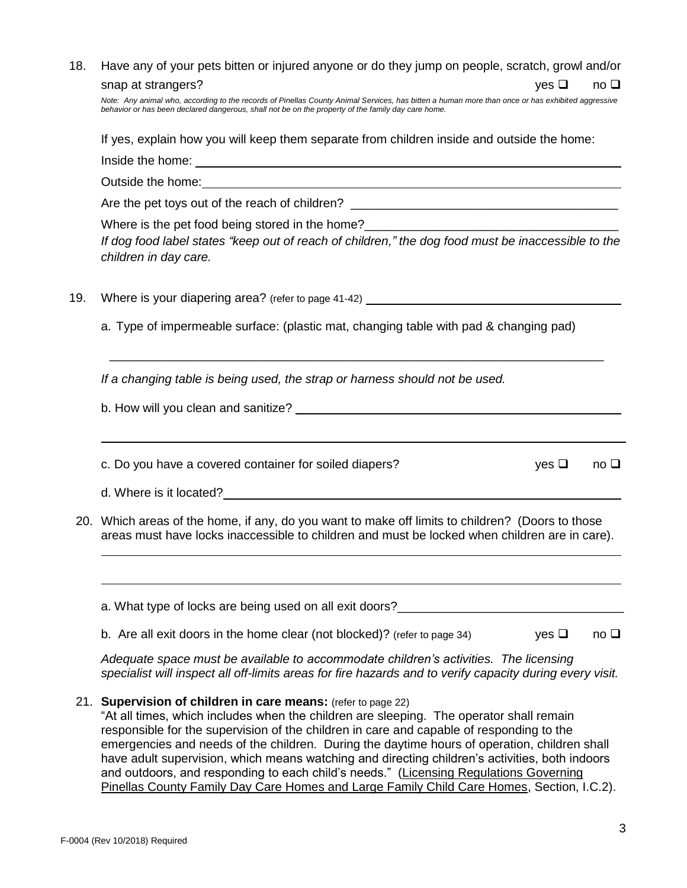| 18. | Have any of your pets bitten or injured anyone or do they jump on people, scratch, growl and/or                                                                                                                                                                                                                                                      |  |  |  |  |  |
|-----|------------------------------------------------------------------------------------------------------------------------------------------------------------------------------------------------------------------------------------------------------------------------------------------------------------------------------------------------------|--|--|--|--|--|
|     | snap at strangers?<br>yes $\Box$<br>no $\square$                                                                                                                                                                                                                                                                                                     |  |  |  |  |  |
|     | Note: Any animal who, according to the records of Pinellas County Animal Services, has bitten a human more than once or has exhibited aggressive<br>behavior or has been declared dangerous, shall not be on the property of the family day care home.                                                                                               |  |  |  |  |  |
|     | If yes, explain how you will keep them separate from children inside and outside the home:                                                                                                                                                                                                                                                           |  |  |  |  |  |
|     |                                                                                                                                                                                                                                                                                                                                                      |  |  |  |  |  |
|     | Outside the home: <u>contained and a series of the series of the series of the series of the series of the series of the series of the series of the series of the series of the series of the series of the series of the serie</u>                                                                                                                 |  |  |  |  |  |
|     |                                                                                                                                                                                                                                                                                                                                                      |  |  |  |  |  |
|     | Where is the pet food being stored in the home?__________________________________<br>If dog food label states "keep out of reach of children," the dog food must be inaccessible to the<br>children in day care.                                                                                                                                     |  |  |  |  |  |
| 19. | Where is your diapering area? (refer to page 41-42) ____________________________                                                                                                                                                                                                                                                                     |  |  |  |  |  |
|     | a. Type of impermeable surface: (plastic mat, changing table with pad & changing pad)                                                                                                                                                                                                                                                                |  |  |  |  |  |
|     | If a changing table is being used, the strap or harness should not be used.                                                                                                                                                                                                                                                                          |  |  |  |  |  |
|     |                                                                                                                                                                                                                                                                                                                                                      |  |  |  |  |  |
|     | c. Do you have a covered container for soiled diapers?<br>yes $\Box$<br>$no\ \Box$                                                                                                                                                                                                                                                                   |  |  |  |  |  |
|     | d. Where is it located?<br><u>Letter and the contract of the contract of the contract of the contract of the contract of the contract of the contract of the contract of the contract of the contract of the contract of the contr</u>                                                                                                               |  |  |  |  |  |
|     | 20. Which areas of the home, if any, do you want to make off limits to children? (Doors to those<br>areas must have locks inaccessible to children and must be locked when children are in care).                                                                                                                                                    |  |  |  |  |  |
|     | a. What type of locks are being used on all exit doors?                                                                                                                                                                                                                                                                                              |  |  |  |  |  |
|     | b. Are all exit doors in the home clear (not blocked)? (refer to page 34)<br>yes $\Box$<br>$no\ \Box$                                                                                                                                                                                                                                                |  |  |  |  |  |
|     | Adequate space must be available to accommodate children's activities. The licensing<br>specialist will inspect all off-limits areas for fire hazards and to verify capacity during every visit.                                                                                                                                                     |  |  |  |  |  |
|     | 21. Supervision of children in care means: (refer to page 22)<br>"At all times, which includes when the children are sleeping. The operator shall remain<br>responsible for the supervision of the children in care and capable of responding to the<br>emergencies and needs of the children. During the daytime hours of operation, children shall |  |  |  |  |  |

have adult supervision, which means watching and directing children's activities, both indoors and outdoors, and responding to each child's needs." (Licensing Regulations Governing Pinellas County Family Day Care Homes and Large Family Child Care Homes, Section, I.C.2).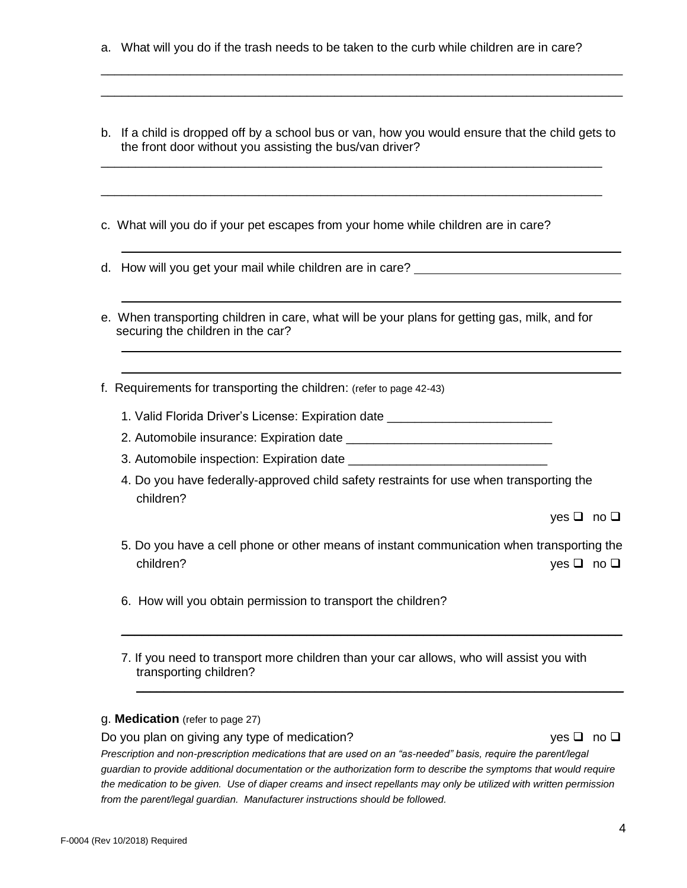- a. What will you do if the trash needs to be taken to the curb while children are in care?
- b. If a child is dropped off by a school bus or van, how you would ensure that the child gets to the front door without you assisting the bus/van driver?

\_\_\_\_\_\_\_\_\_\_\_\_\_\_\_\_\_\_\_\_\_\_\_\_\_\_\_\_\_\_\_\_\_\_\_\_\_\_\_\_\_\_\_\_\_\_\_\_\_\_\_\_\_\_\_\_\_\_\_\_\_\_\_\_\_\_\_\_\_\_\_\_\_

\_\_\_\_\_\_\_\_\_\_\_\_\_\_\_\_\_\_\_\_\_\_\_\_\_\_\_\_\_\_\_\_\_\_\_\_\_\_\_\_\_\_\_\_\_\_\_\_\_\_\_\_\_\_\_\_\_\_\_\_\_\_\_\_\_\_\_\_\_\_\_\_\_

\_\_\_\_\_\_\_\_\_\_\_\_\_\_\_\_\_\_\_\_\_\_\_\_\_\_\_\_\_\_\_\_\_\_\_\_\_\_\_\_\_\_\_\_\_\_\_\_\_\_\_\_\_\_\_\_\_\_\_\_\_\_\_\_\_\_\_\_\_\_\_\_\_\_\_\_ \_\_\_\_\_\_\_\_\_\_\_\_\_\_\_\_\_\_\_\_\_\_\_\_\_\_\_\_\_\_\_\_\_\_\_\_\_\_\_\_\_\_\_\_\_\_\_\_\_\_\_\_\_\_\_\_\_\_\_\_\_\_\_\_\_\_\_\_\_\_\_\_\_\_\_\_

- c. What will you do if your pet escapes from your home while children are in care?
- d. How will you get your mail while children are in care?
- e. When transporting children in care, what will be your plans for getting gas, milk, and for securing the children in the car?
- f. Requirements for transporting the children: (refer to page 42-43)
	- 1. Valid Florida Driver's License: Expiration date
	- 2. Automobile insurance: Expiration date \_\_\_\_\_\_\_\_\_\_\_\_\_\_\_\_\_\_\_\_\_\_\_\_\_\_\_\_\_\_
	- 3. Automobile inspection: Expiration date
	- 4. Do you have federally-approved child safety restraints for use when transporting the children?

yes ❑ no ❑

5. Do you have a cell phone or other means of instant communication when transporting the children? yes ❑ no ❑

\_\_\_\_\_\_\_\_\_\_\_\_\_\_\_\_\_\_\_\_\_\_\_\_\_\_\_\_\_\_\_\_\_\_\_\_\_\_\_\_\_\_\_\_\_\_\_\_\_\_\_\_\_\_\_\_\_\_\_\_\_\_\_\_\_\_\_\_\_\_\_\_\_

 $\mathcal{L}_\text{max} = \mathcal{L}_\text{max} = \mathcal{L}_\text{max} = \mathcal{L}_\text{max} = \mathcal{L}_\text{max} = \mathcal{L}_\text{max} = \mathcal{L}_\text{max} = \mathcal{L}_\text{max} = \mathcal{L}_\text{max} = \mathcal{L}_\text{max} = \mathcal{L}_\text{max} = \mathcal{L}_\text{max} = \mathcal{L}_\text{max} = \mathcal{L}_\text{max} = \mathcal{L}_\text{max} = \mathcal{L}_\text{max} = \mathcal{L}_\text{max} = \mathcal{L}_\text{max} = \mathcal{$ 

- 6. How will you obtain permission to transport the children?
- 7. If you need to transport more children than your car allows, who will assist you with transporting children?

### g. **Medication** (refer to page 27)

Do you plan on giving any type of medication?yes ❑ no ❑

*Prescription and non-prescription medications that are used on an "as-needed" basis, require the parent/legal guardian to provide additional documentation or the authorization form to describe the symptoms that would require the medication to be given. Use of diaper creams and insect repellants may only be utilized with written permission from the parent/legal guardian. Manufacturer instructions should be followed.*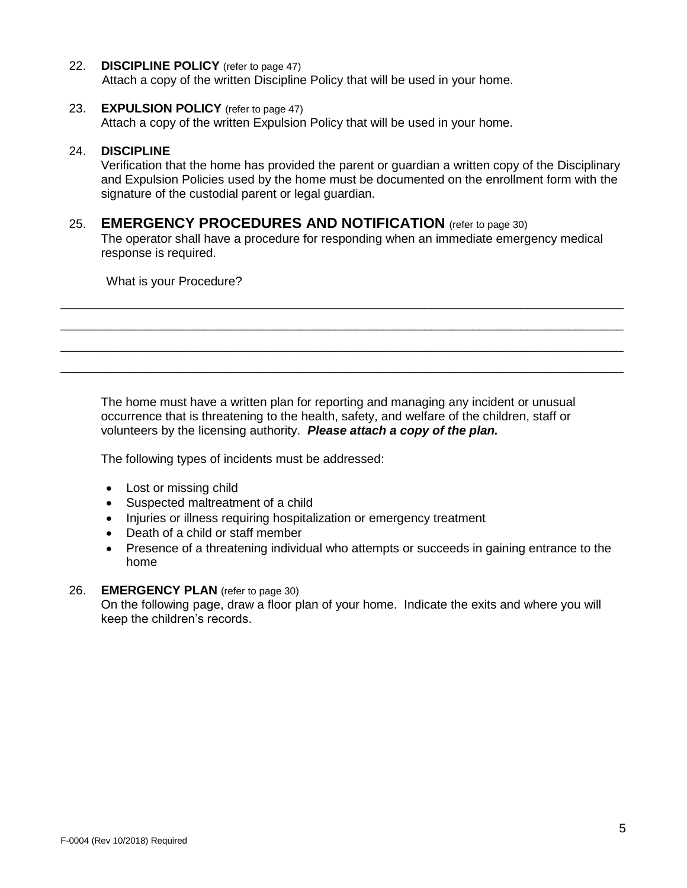#### 22. **DISCIPLINE POLICY** (refer to page 47)

Attach a copy of the written Discipline Policy that will be used in your home.

#### 23. **EXPULSION POLICY** (refer to page 47)

Attach a copy of the written Expulsion Policy that will be used in your home.

#### 24. **DISCIPLINE**

Verification that the home has provided the parent or guardian a written copy of the Disciplinary and Expulsion Policies used by the home must be documented on the enrollment form with the signature of the custodial parent or legal guardian.

## 25. **EMERGENCY PROCEDURES AND NOTIFICATION** (refer to page 30)

The operator shall have a procedure for responding when an immediate emergency medical response is required.

\_\_\_\_\_\_\_\_\_\_\_\_\_\_\_\_\_\_\_\_\_\_\_\_\_\_\_\_\_\_\_\_\_\_\_\_\_\_\_\_\_\_\_\_\_\_\_\_\_\_\_\_\_\_\_\_\_\_\_\_\_\_\_\_\_\_\_\_\_\_\_\_\_\_\_\_\_\_\_\_\_\_ \_\_\_\_\_\_\_\_\_\_\_\_\_\_\_\_\_\_\_\_\_\_\_\_\_\_\_\_\_\_\_\_\_\_\_\_\_\_\_\_\_\_\_\_\_\_\_\_\_\_\_\_\_\_\_\_\_\_\_\_\_\_\_\_\_\_\_\_\_\_\_\_\_\_\_\_\_\_\_\_\_\_ \_\_\_\_\_\_\_\_\_\_\_\_\_\_\_\_\_\_\_\_\_\_\_\_\_\_\_\_\_\_\_\_\_\_\_\_\_\_\_\_\_\_\_\_\_\_\_\_\_\_\_\_\_\_\_\_\_\_\_\_\_\_\_\_\_\_\_\_\_\_\_\_\_\_\_\_\_\_\_\_\_\_ \_\_\_\_\_\_\_\_\_\_\_\_\_\_\_\_\_\_\_\_\_\_\_\_\_\_\_\_\_\_\_\_\_\_\_\_\_\_\_\_\_\_\_\_\_\_\_\_\_\_\_\_\_\_\_\_\_\_\_\_\_\_\_\_\_\_\_\_\_\_\_\_\_\_\_\_\_\_\_\_\_\_

What is your Procedure?

The home must have a written plan for reporting and managing any incident or unusual occurrence that is threatening to the health, safety, and welfare of the children, staff or volunteers by the licensing authority. *Please attach a copy of the plan.*

The following types of incidents must be addressed:

- Lost or missing child
- Suspected maltreatment of a child
- Injuries or illness requiring hospitalization or emergency treatment
- Death of a child or staff member
- Presence of a threatening individual who attempts or succeeds in gaining entrance to the home

### 26. **EMERGENCY PLAN** (refer to page 30)

On the following page, draw a floor plan of your home. Indicate the exits and where you will keep the children's records.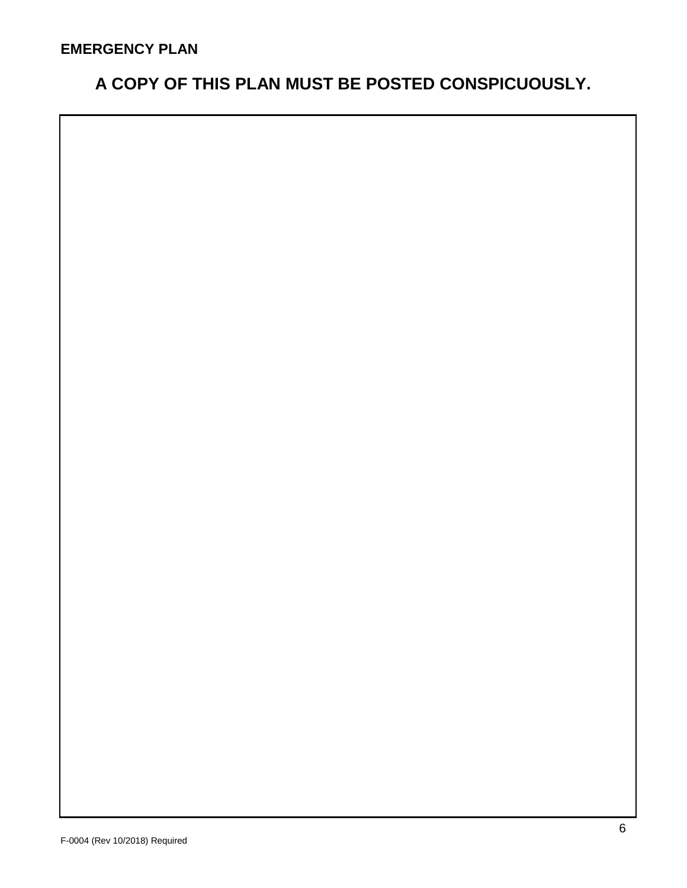# **A COPY OF THIS PLAN MUST BE POSTED CONSPICUOUSLY.**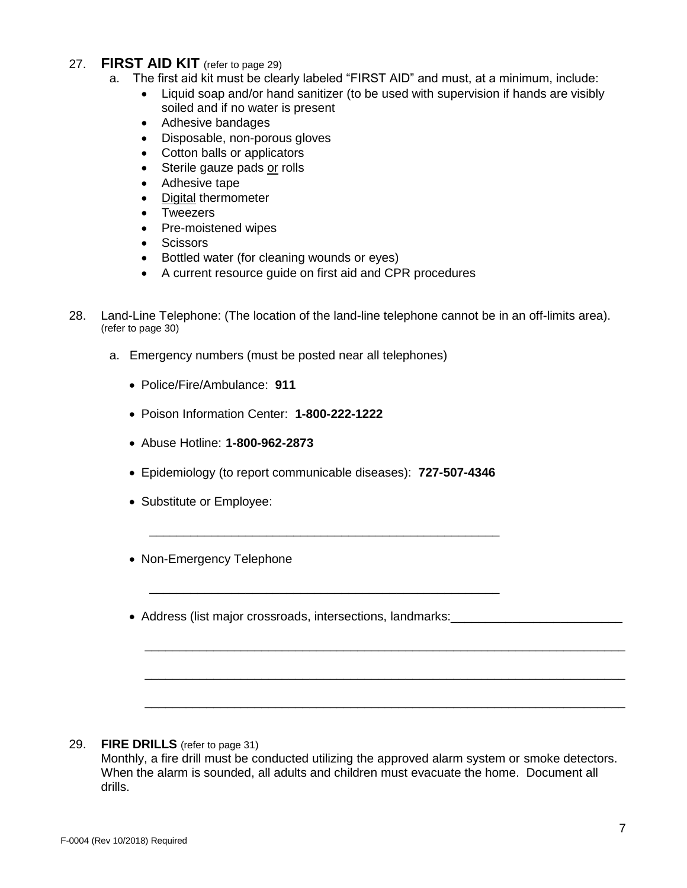## 27. **FIRST AID KIT** (refer to page 29)

- a. The first aid kit must be clearly labeled "FIRST AID" and must, at a minimum, include:
	- Liquid soap and/or hand sanitizer (to be used with supervision if hands are visibly soiled and if no water is present
		- Adhesive bandages
		- Disposable, non-porous gloves
		- Cotton balls or applicators
		- Sterile gauze pads or rolls
		- Adhesive tape
	- Digital thermometer
	- **Tweezers**
	- Pre-moistened wipes
	- Scissors
	- Bottled water (for cleaning wounds or eyes)
	- A current resource guide on first aid and CPR procedures
- 28. Land-Line Telephone: (The location of the land-line telephone cannot be in an off-limits area). (refer to page 30)
	- a. Emergency numbers (must be posted near all telephones)
		- Police/Fire/Ambulance: **911**
		- Poison Information Center: **1-800-222-1222**
		- Abuse Hotline: **1-800-962-2873**
		- Epidemiology (to report communicable diseases): **727-507-4346**

\_\_\_\_\_\_\_\_\_\_\_\_\_\_\_\_\_\_\_\_\_\_\_\_\_\_\_\_\_\_\_\_\_\_\_\_\_\_\_\_\_\_\_\_\_\_\_\_\_\_\_

\_\_\_\_\_\_\_\_\_\_\_\_\_\_\_\_\_\_\_\_\_\_\_\_\_\_\_\_\_\_\_\_\_\_\_\_\_\_\_\_\_\_\_\_\_\_\_\_\_\_\_

- Substitute or Employee:
- Non-Emergency Telephone
- Address (list major crossroads, intersections, landmarks: value of the state of the state of the state of the state of the state of the state of the state of the state of the state of the state of the state of the state

#### 29. **FIRE DRILLS** (refer to page 31)

Monthly, a fire drill must be conducted utilizing the approved alarm system or smoke detectors. When the alarm is sounded, all adults and children must evacuate the home. Document all drills.

\_\_\_\_\_\_\_\_\_\_\_\_\_\_\_\_\_\_\_\_\_\_\_\_\_\_\_\_\_\_\_\_\_\_\_\_\_\_\_\_\_\_\_\_\_\_\_\_\_\_\_\_\_\_\_\_\_\_\_\_\_\_\_\_\_\_\_\_\_\_

\_\_\_\_\_\_\_\_\_\_\_\_\_\_\_\_\_\_\_\_\_\_\_\_\_\_\_\_\_\_\_\_\_\_\_\_\_\_\_\_\_\_\_\_\_\_\_\_\_\_\_\_\_\_\_\_\_\_\_\_\_\_\_\_\_\_\_\_\_\_

\_\_\_\_\_\_\_\_\_\_\_\_\_\_\_\_\_\_\_\_\_\_\_\_\_\_\_\_\_\_\_\_\_\_\_\_\_\_\_\_\_\_\_\_\_\_\_\_\_\_\_\_\_\_\_\_\_\_\_\_\_\_\_\_\_\_\_\_\_\_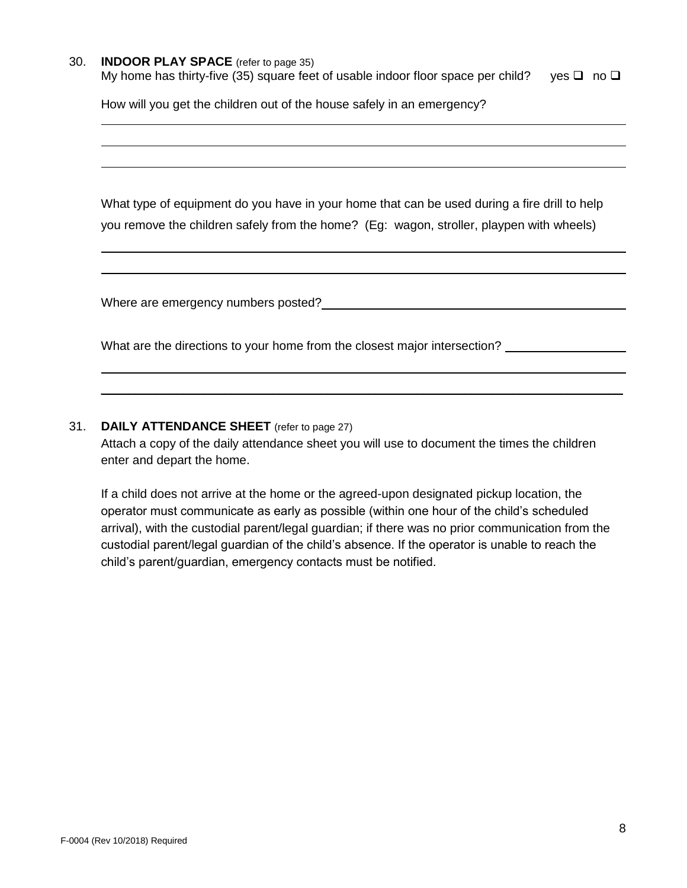#### 30. **INDOOR PLAY SPACE** (refer to page 35)

My home has thirty-five (35) square feet of usable indoor floor space per child? yes  $\square$  no  $\square$ 

How will you get the children out of the house safely in an emergency?

What type of equipment do you have in your home that can be used during a fire drill to help you remove the children safely from the home? (Eg: wagon, stroller, playpen with wheels)

Where are emergency numbers posted?

What are the directions to your home from the closest major intersection?

### 31. **DAILY ATTENDANCE SHEET** (refer to page 27)

Attach a copy of the daily attendance sheet you will use to document the times the children enter and depart the home.

\_\_\_\_\_\_\_\_\_\_\_\_\_\_\_\_\_\_\_\_\_\_\_\_\_\_\_\_\_\_\_\_\_\_\_\_\_\_\_\_\_\_\_\_\_\_\_\_\_\_\_\_\_\_\_\_\_\_\_\_\_\_\_\_\_\_\_\_\_\_\_\_\_\_\_\_

If a child does not arrive at the home or the agreed-upon designated pickup location, the operator must communicate as early as possible (within one hour of the child's scheduled arrival), with the custodial parent/legal guardian; if there was no prior communication from the custodial parent/legal guardian of the child's absence. If the operator is unable to reach the child's parent/guardian, emergency contacts must be notified.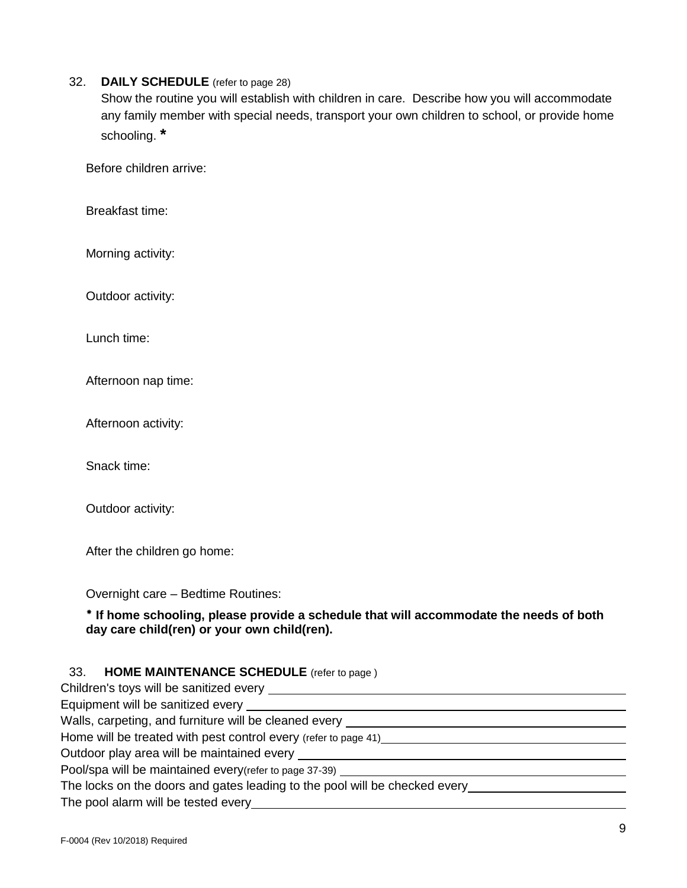### 32. **DAILY SCHEDULE** (refer to page 28)

Show the routine you will establish with children in care. Describe how you will accommodate any family member with special needs, transport your own children to school, or provide home schooling. **\***

Before children arrive:

Breakfast time:

Morning activity:

Outdoor activity:

Lunch time:

Afternoon nap time:

Afternoon activity:

Snack time:

Outdoor activity:

After the children go home:

Overnight care – Bedtime Routines:

### **If home schooling, please provide a schedule that will accommodate the needs of both day care child(ren) or your own child(ren).**

#### 33. **HOME MAINTENANCE SCHEDULE** (refer to page )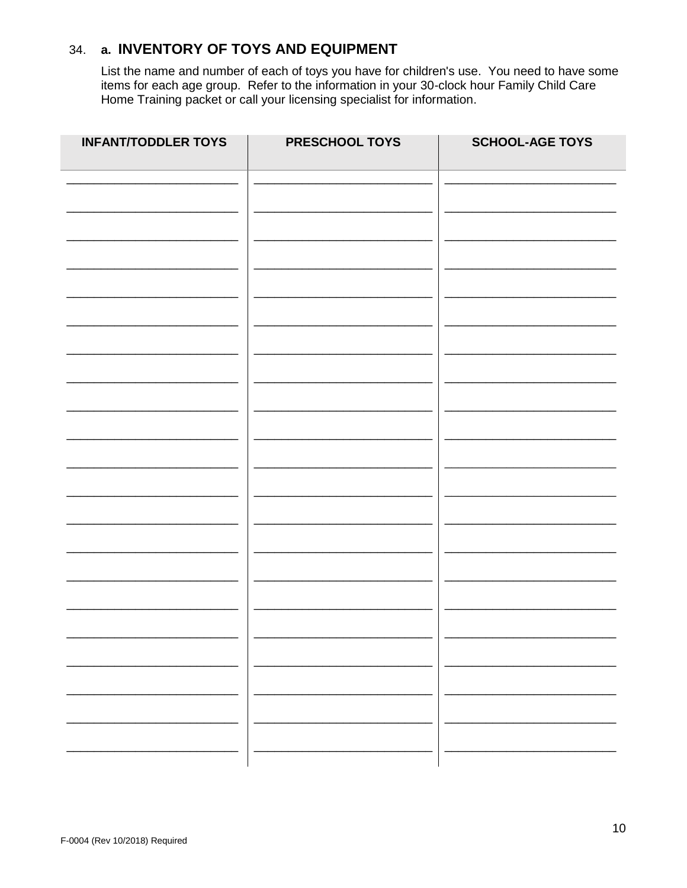#### a. INVENTORY OF TOYS AND EQUIPMENT 34.

List the name and number of each of toys you have for children's use. You need to have some items for each age group. Refer to the information in your 30-clock hour Family Child Care Home Training packet or call your licen

| <b>INFANT/TODDLER TOYS</b> | PRESCHOOL TOYS | <b>SCHOOL-AGE TOYS</b> |
|----------------------------|----------------|------------------------|
|                            |                |                        |
|                            |                |                        |
|                            |                |                        |
|                            |                |                        |
|                            |                |                        |
|                            |                |                        |
|                            |                |                        |
|                            |                |                        |
|                            |                |                        |
|                            |                |                        |
|                            |                |                        |
|                            |                |                        |
|                            |                |                        |
|                            |                |                        |
|                            |                |                        |
|                            |                |                        |
|                            |                |                        |
|                            |                |                        |
|                            |                |                        |
|                            |                |                        |
|                            |                |                        |
|                            |                |                        |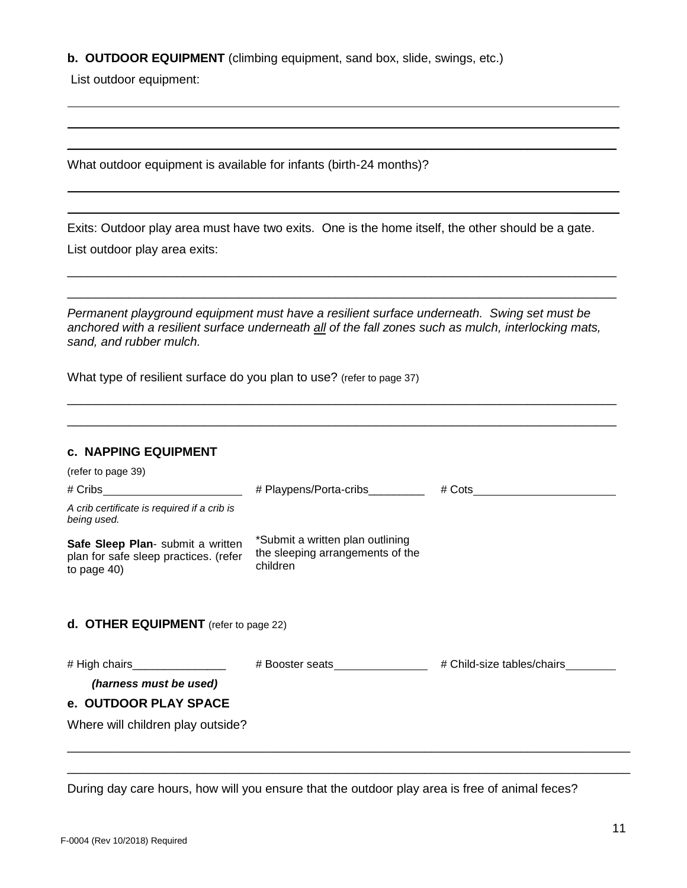#### **b. OUTDOOR EQUIPMENT** (climbing equipment, sand box, slide, swings, etc.)

List outdoor equipment:

What outdoor equipment is available for infants (birth-24 months)?

Exits: Outdoor play area must have two exits. One is the home itself, the other should be a gate. List outdoor play area exits:

\_\_\_\_\_\_\_\_\_\_\_\_\_\_\_\_\_\_\_\_\_\_\_\_\_\_\_\_\_\_\_\_\_\_\_\_\_\_\_\_\_\_\_\_\_\_\_\_\_\_\_\_\_\_\_\_\_\_\_\_\_\_\_\_\_\_\_\_\_\_\_\_\_\_\_\_\_\_\_\_ \_\_\_\_\_\_\_\_\_\_\_\_\_\_\_\_\_\_\_\_\_\_\_\_\_\_\_\_\_\_\_\_\_\_\_\_\_\_\_\_\_\_\_\_\_\_\_\_\_\_\_\_\_\_\_\_\_\_\_\_\_\_\_\_\_\_\_\_\_\_\_\_\_\_\_\_\_\_\_\_

\_\_\_\_\_\_\_\_\_\_\_\_\_\_\_\_\_\_\_\_\_\_\_\_\_\_\_\_\_\_\_\_\_\_\_\_\_\_\_\_\_\_\_\_\_\_\_\_\_\_\_\_\_\_\_\_\_\_\_\_\_\_\_\_\_\_\_\_\_\_\_\_\_\_\_\_\_\_\_\_

*Permanent playground equipment must have a resilient surface underneath. Swing set must be anchored with a resilient surface underneath all of the fall zones such as mulch, interlocking mats, sand, and rubber mulch.*

\_\_\_\_\_\_\_\_\_\_\_\_\_\_\_\_\_\_\_\_\_\_\_\_\_\_\_\_\_\_\_\_\_\_\_\_\_\_\_\_\_\_\_\_\_\_\_\_\_\_\_\_\_\_\_\_\_\_\_\_\_\_\_\_\_\_\_\_\_\_\_\_\_\_\_\_\_\_\_\_ \_\_\_\_\_\_\_\_\_\_\_\_\_\_\_\_\_\_\_\_\_\_\_\_\_\_\_\_\_\_\_\_\_\_\_\_\_\_\_\_\_\_\_\_\_\_\_\_\_\_\_\_\_\_\_\_\_\_\_\_\_\_\_\_\_\_\_\_\_\_\_\_\_\_\_\_\_\_\_\_

What type of resilient surface do you plan to use? (refer to page 37)

### **c. NAPPING EQUIPMENT**

| (refer to page 39)                                                                        |                                                                                                                                                                                                                                |                            |
|-------------------------------------------------------------------------------------------|--------------------------------------------------------------------------------------------------------------------------------------------------------------------------------------------------------------------------------|----------------------------|
| $\#$ Cribs ____________________________                                                   | # Playpens/Porta-cribs _________                                                                                                                                                                                               | $\# \text{Cots}$           |
| A crib certificate is required if a crib is<br>being used.                                |                                                                                                                                                                                                                                |                            |
| Safe Sleep Plan- submit a written<br>plan for safe sleep practices. (refer<br>to page 40) | *Submit a written plan outlining<br>the sleeping arrangements of the<br>children                                                                                                                                               |                            |
| <b>d. OTHER EQUIPMENT</b> (refer to page 22)                                              |                                                                                                                                                                                                                                |                            |
| # High chairs_________________<br>(harness must be used)                                  | # Booster seats The Second Second Second Second Second Second Second Second Second Second Second Second Second Second Second Second Second Second Second Second Second Second Second Second Second Second Second Second Second | # Child-size tables/chairs |
| e. OUTDOOR PLAY SPACE                                                                     |                                                                                                                                                                                                                                |                            |
| Where will children play outside?                                                         |                                                                                                                                                                                                                                |                            |
|                                                                                           |                                                                                                                                                                                                                                |                            |

During day care hours, how will you ensure that the outdoor play area is free of animal feces?

\_\_\_\_\_\_\_\_\_\_\_\_\_\_\_\_\_\_\_\_\_\_\_\_\_\_\_\_\_\_\_\_\_\_\_\_\_\_\_\_\_\_\_\_\_\_\_\_\_\_\_\_\_\_\_\_\_\_\_\_\_\_\_\_\_\_\_\_\_\_\_\_\_\_\_\_\_\_\_\_\_\_

 $\overline{\phantom{a}}$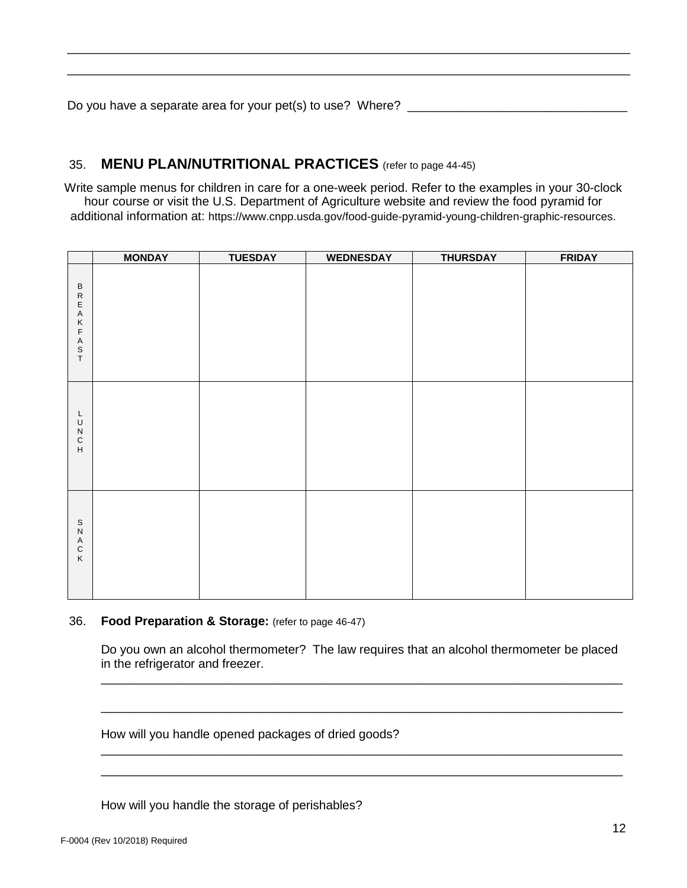Do you have a separate area for your pet(s) to use? Where? \_\_\_\_\_\_\_\_\_\_\_\_\_\_\_\_\_\_\_\_\_\_

# 35. **MENU PLAN/NUTRITIONAL PRACTICES** (refer to page 44-45)

Write sample menus for children in care for a one-week period. Refer to the examples in your 30-clock hour course or visit the U.S. Department of Agriculture website and review the food pyramid for additional information at: https://www.cnpp.usda.gov/food-guide-pyramid-young-children-graphic-resources.

\_\_\_\_\_\_\_\_\_\_\_\_\_\_\_\_\_\_\_\_\_\_\_\_\_\_\_\_\_\_\_\_\_\_\_\_\_\_\_\_\_\_\_\_\_\_\_\_\_\_\_\_\_\_\_\_\_\_\_\_\_\_\_\_\_\_\_\_\_\_\_\_\_\_\_\_\_\_\_\_\_\_ \_\_\_\_\_\_\_\_\_\_\_\_\_\_\_\_\_\_\_\_\_\_\_\_\_\_\_\_\_\_\_\_\_\_\_\_\_\_\_\_\_\_\_\_\_\_\_\_\_\_\_\_\_\_\_\_\_\_\_\_\_\_\_\_\_\_\_\_\_\_\_\_\_\_\_\_\_\_\_\_\_\_

|                                                                                         | <b>MONDAY</b> | <b>TUESDAY</b> | <b>WEDNESDAY</b> | <b>THURSDAY</b> | <b>FRIDAY</b> |
|-----------------------------------------------------------------------------------------|---------------|----------------|------------------|-----------------|---------------|
| $\sf B$<br>${\sf R}$<br>E<br>$\mathsf A$<br>Κ<br>$\mathsf F$<br>A<br>$_{\rm T}^{\rm S}$ |               |                |                  |                 |               |
| L<br>$\sf U$<br>${\sf N}$<br>${\bf C}$<br>$\boldsymbol{\mathsf{H}}$                     |               |                |                  |                 |               |
| $\mbox{\bf s}$<br>${\sf N}$<br>A<br>$\mathsf C$<br>$\sf K$                              |               |                |                  |                 |               |

#### 36. **Food Preparation & Storage:** (refer to page 46-47)

Do you own an alcohol thermometer? The law requires that an alcohol thermometer be placed in the refrigerator and freezer.

\_\_\_\_\_\_\_\_\_\_\_\_\_\_\_\_\_\_\_\_\_\_\_\_\_\_\_\_\_\_\_\_\_\_\_\_\_\_\_\_\_\_\_\_\_\_\_\_\_\_\_\_\_\_\_\_\_\_\_\_\_\_\_\_\_\_\_\_\_\_\_\_\_\_\_\_

\_\_\_\_\_\_\_\_\_\_\_\_\_\_\_\_\_\_\_\_\_\_\_\_\_\_\_\_\_\_\_\_\_\_\_\_\_\_\_\_\_\_\_\_\_\_\_\_\_\_\_\_\_\_\_\_\_\_\_\_\_\_\_\_\_\_\_\_\_\_\_\_\_\_\_\_

\_\_\_\_\_\_\_\_\_\_\_\_\_\_\_\_\_\_\_\_\_\_\_\_\_\_\_\_\_\_\_\_\_\_\_\_\_\_\_\_\_\_\_\_\_\_\_\_\_\_\_\_\_\_\_\_\_\_\_\_\_\_\_\_\_\_\_\_\_\_\_\_\_\_\_\_ \_\_\_\_\_\_\_\_\_\_\_\_\_\_\_\_\_\_\_\_\_\_\_\_\_\_\_\_\_\_\_\_\_\_\_\_\_\_\_\_\_\_\_\_\_\_\_\_\_\_\_\_\_\_\_\_\_\_\_\_\_\_\_\_\_\_\_\_\_\_\_\_\_\_\_\_

How will you handle opened packages of dried goods?

How will you handle the storage of perishables?